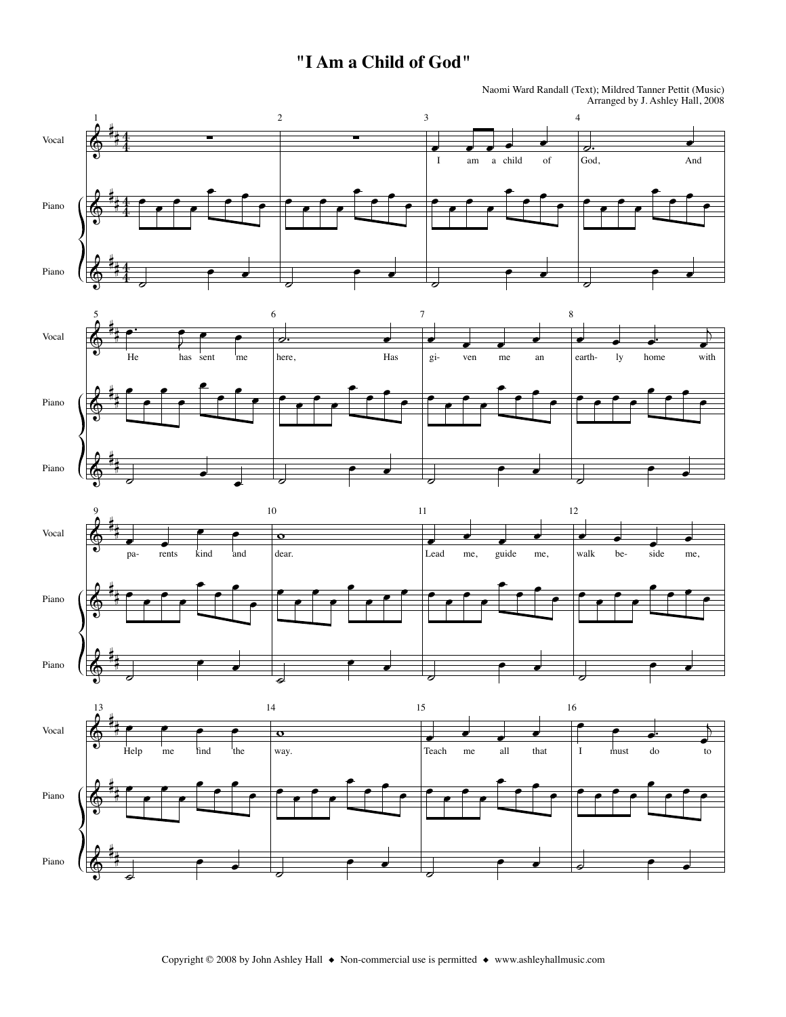## **"I Am a Child of God"**

Naomi Ward Randall (Text); Mildred Tanner Pettit (Music) Arranged by J. Ashley Hall, 2008







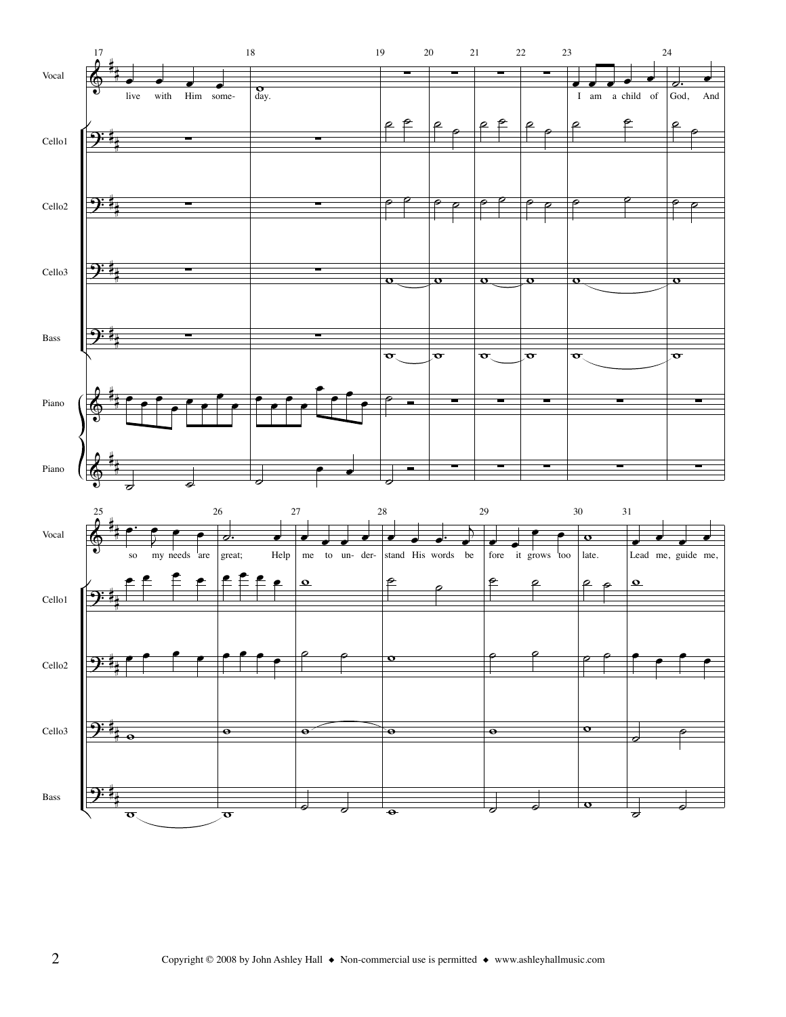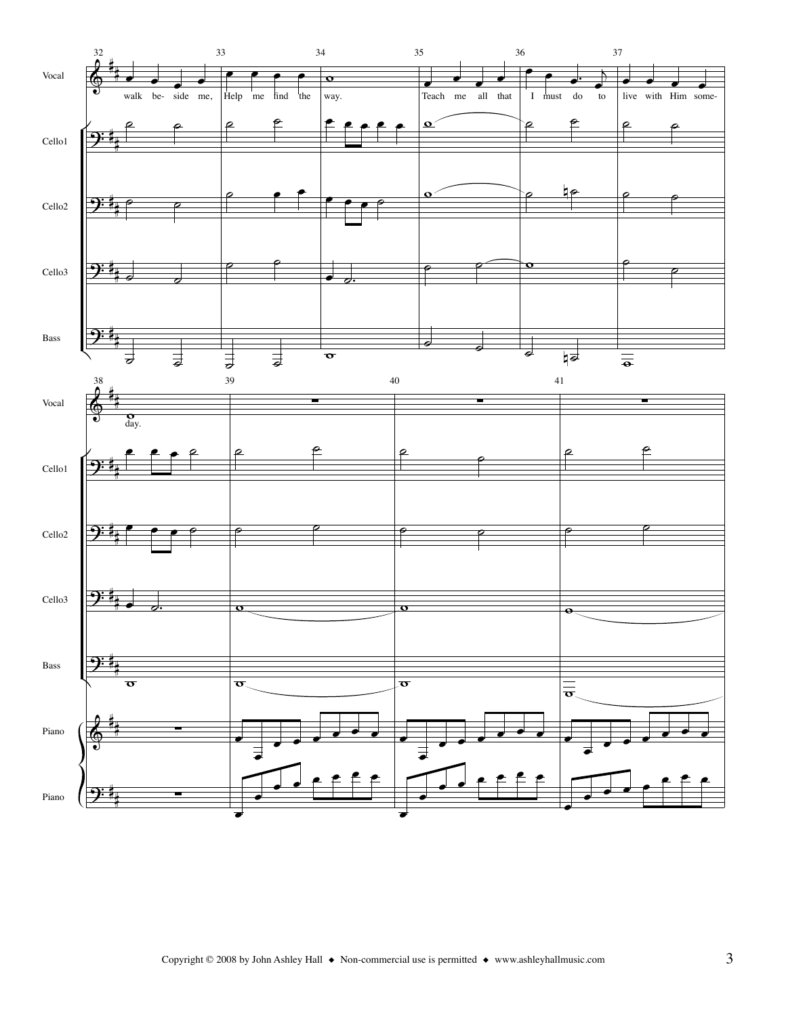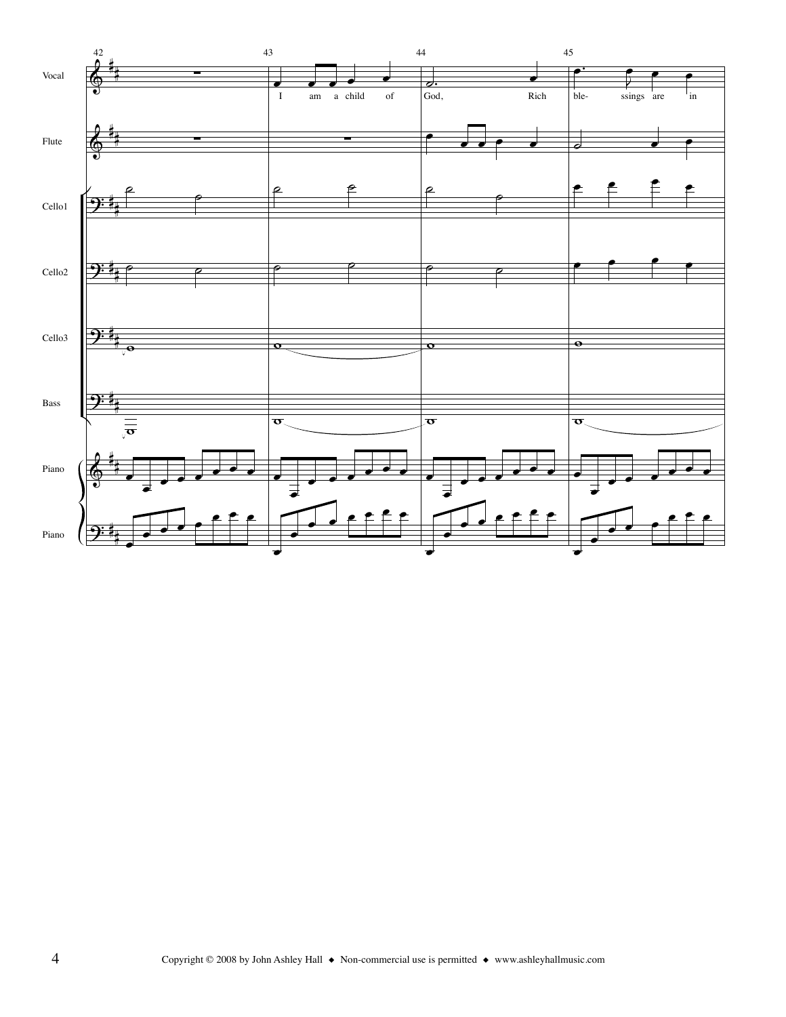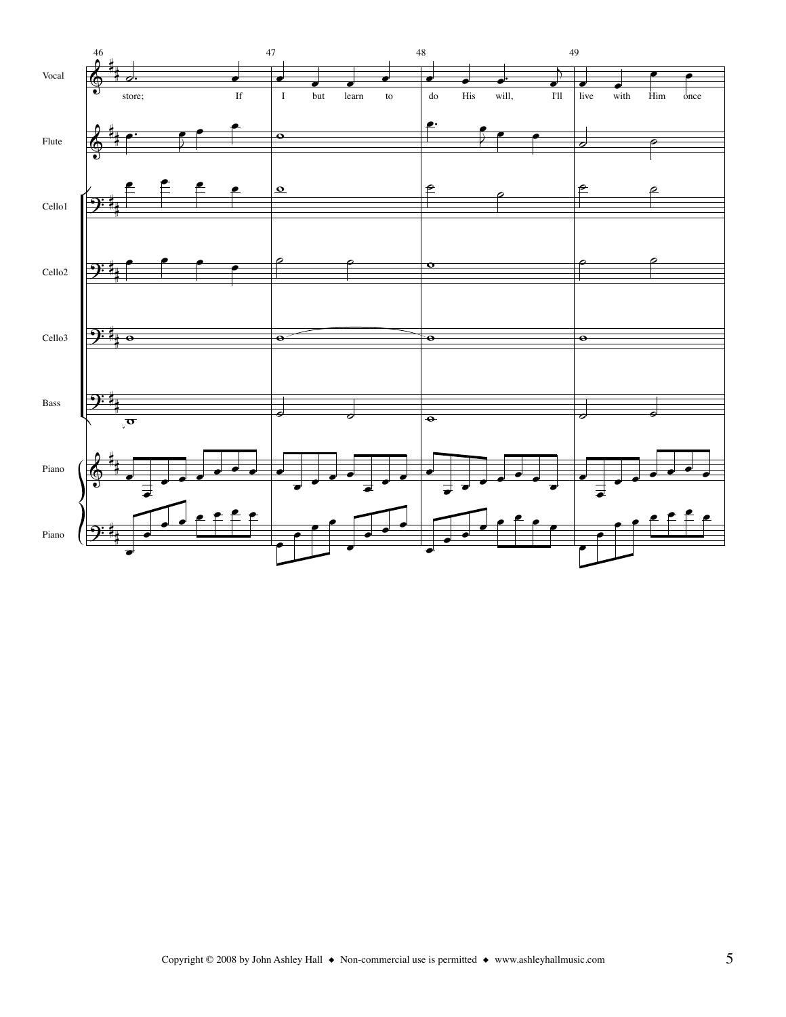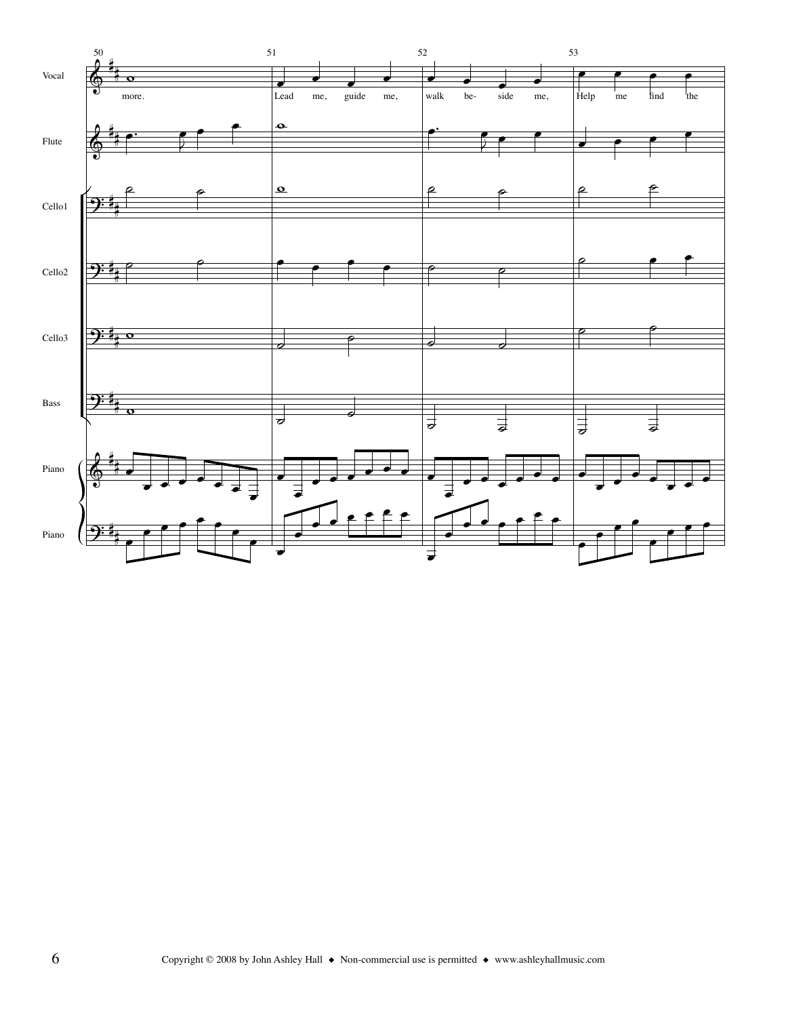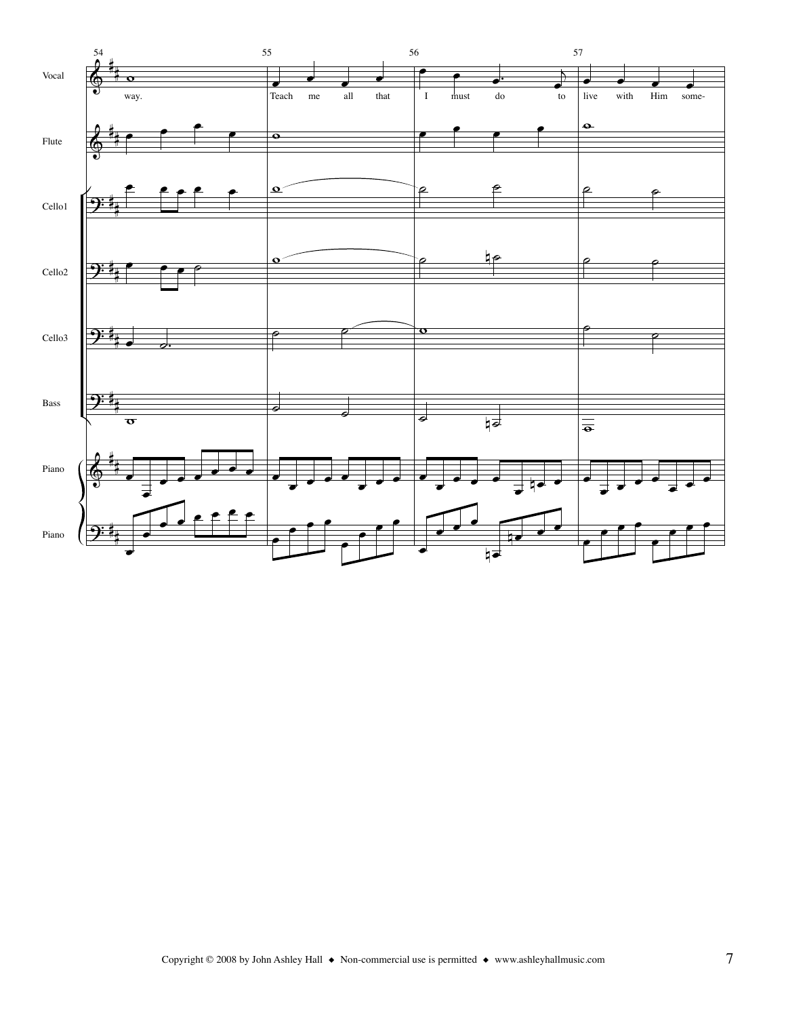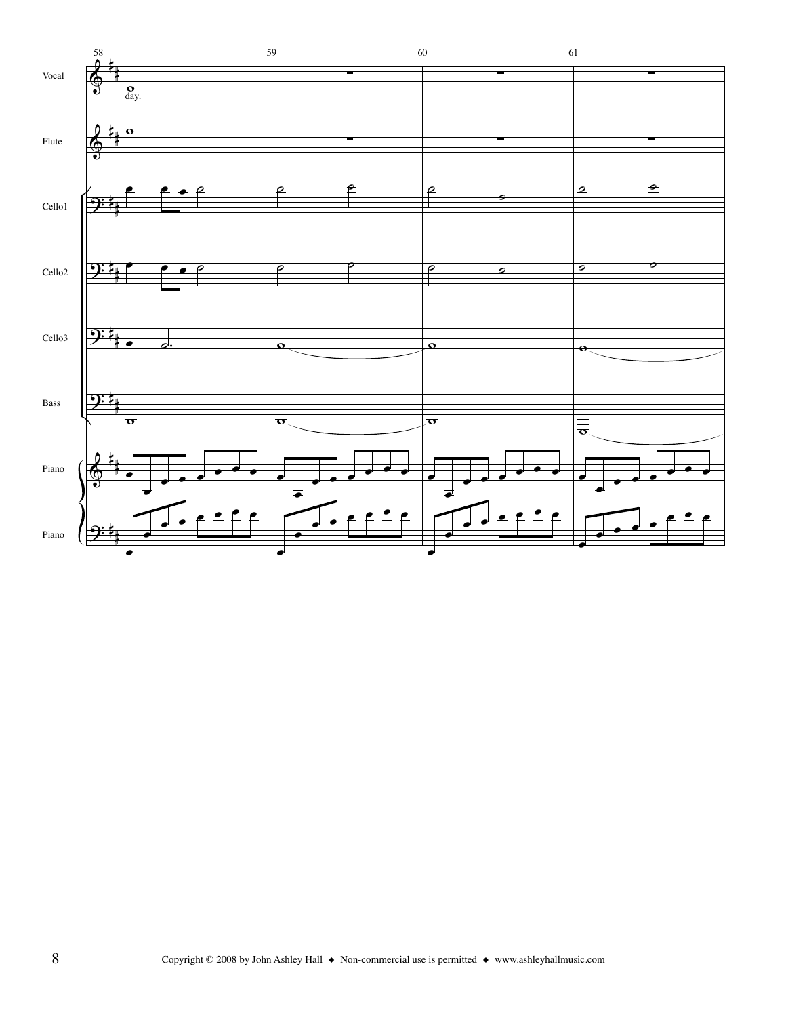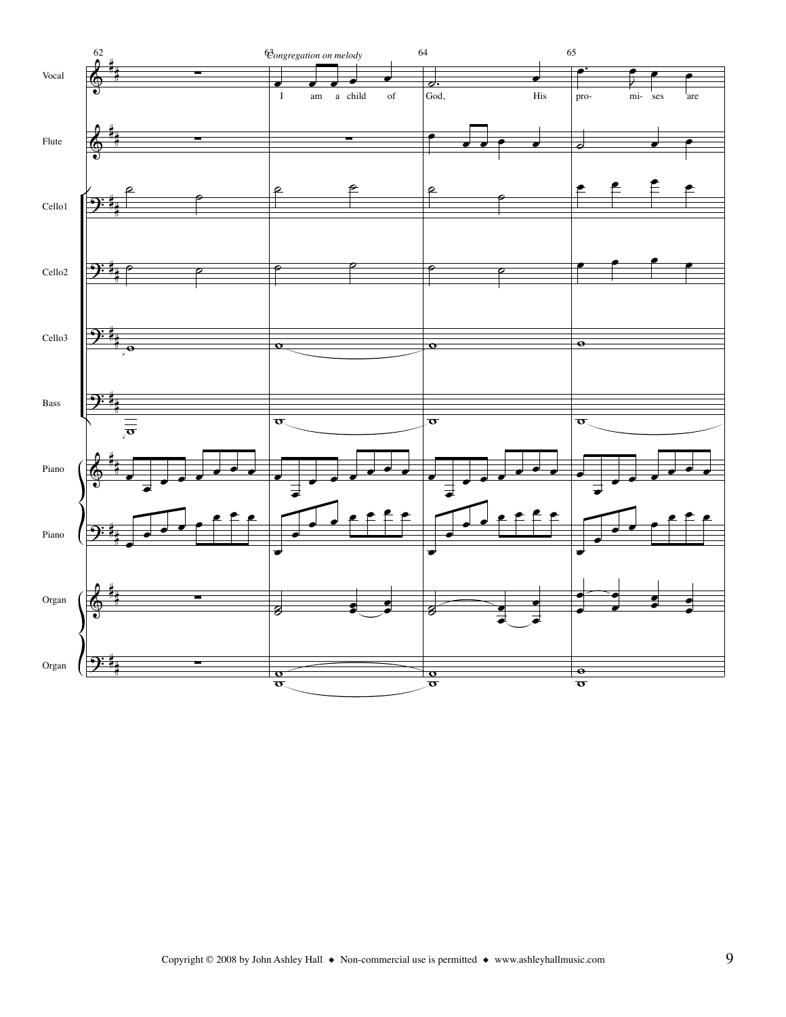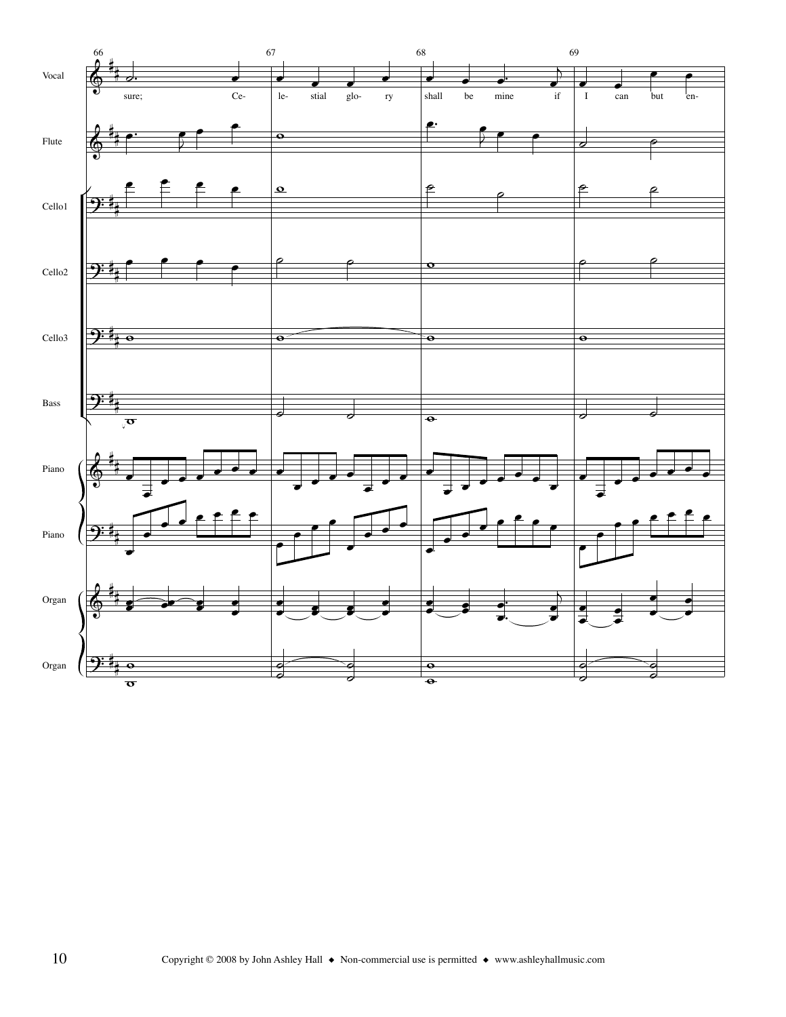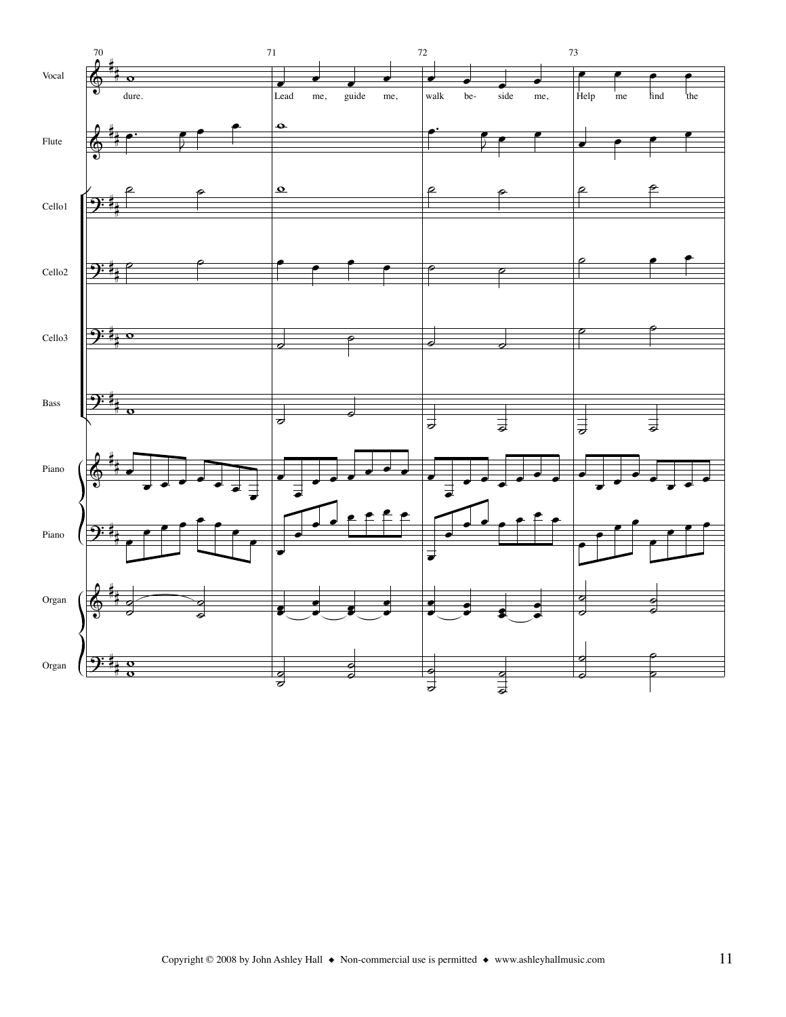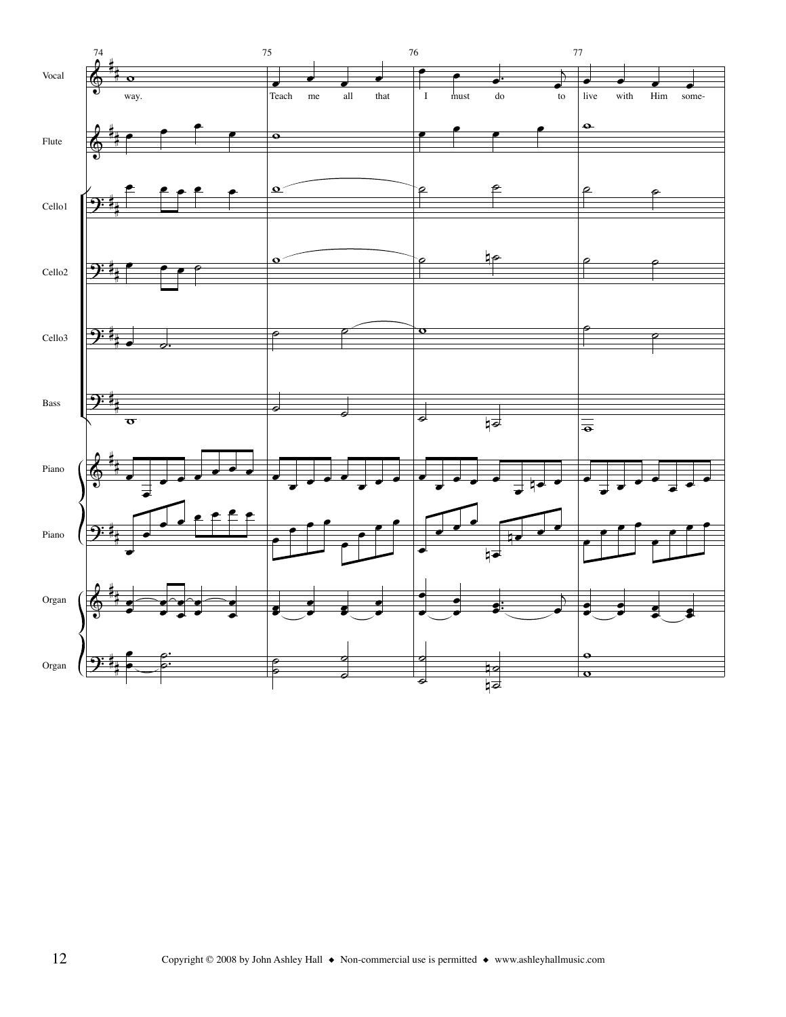